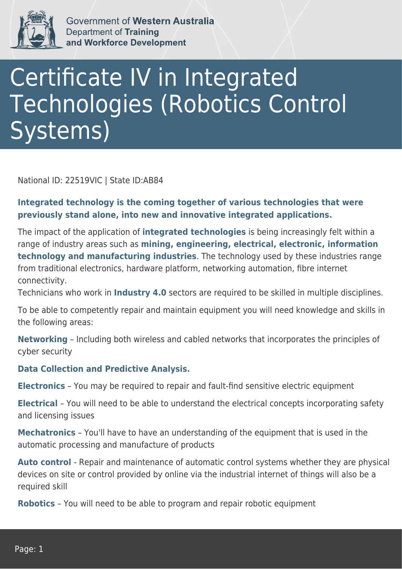

Government of Western Australia Department of Training and Workforce Development

## Certificate IV in Integrated Technologies (Robotics Control Systems)

National ID: 22519VIC | State ID:AB84

**Integrated technology is the coming together of various technologies that were previously stand alone, into new and innovative integrated applications.**

The impact of the application of **integrated technologies** is being increasingly felt within a range of industry areas such as **mining, engineering, electrical, electronic, information technology and manufacturing industries**. The technology used by these industries range from traditional electronics, hardware platform, networking automation, fibre internet connectivity.

Technicians who work in **Industry 4.0** sectors are required to be skilled in multiple disciplines.

To be able to competently repair and maintain equipment you will need knowledge and skills in the following areas:

**Networking** – Including both wireless and cabled networks that incorporates the principles of cyber security

## **Data Collection and Predictive Analysis.**

**Electronics** – You may be required to repair and fault-find sensitive electric equipment

**Electrical** – You will need to be able to understand the electrical concepts incorporating safety and licensing issues

**Mechatronics** – You'll have to have an understanding of the equipment that is used in the automatic processing and manufacture of products

Auto control - Repair and maintenance of automatic control systems whether they are physical devices on site or control provided by online via the industrial internet of things will also be a required skill

**Robotics** – You will need to be able to program and repair robotic equipment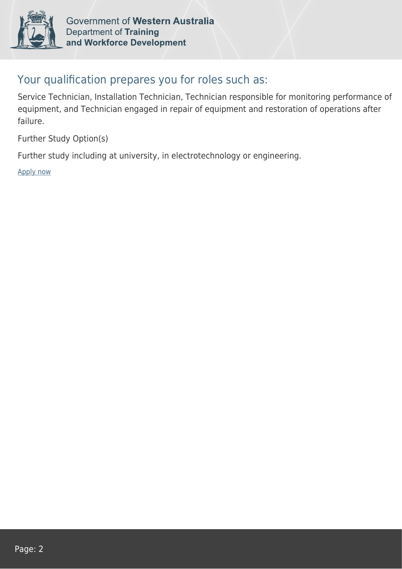

Government of Western Australia **Department of Training** and Workforce Development

## Your qualification prepares you for roles such as:

Service Technician, Installation Technician, Technician responsible for monitoring performance of equipment, and Technician engaged in repair of equipment and restoration of operations after failure.

Further Study Option(s)

Further study including at university, in electrotechnology or engineering.

[Apply now](https://tasonline.tafe.wa.edu.au/Default.aspx)